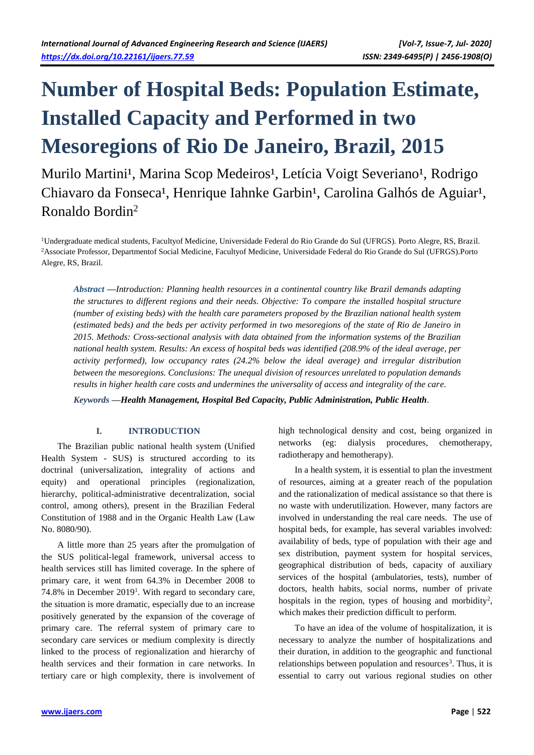# **Number of Hospital Beds: Population Estimate, Installed Capacity and Performed in two Mesoregions of Rio De Janeiro, Brazil, 2015**

Murilo Martini<sup>1</sup>, Marina Scop Medeiros<sup>1</sup>, Letícia Voigt Severiano<sup>1</sup>, Rodrigo Chiavaro da Fonseca<sup>1</sup>, Henrique Iahnke Garbin<sup>1</sup>, Carolina Galhós de Aguiar<sup>1</sup>, Ronaldo Bordin<sup>2</sup>

<sup>1</sup>Undergraduate medical students, Facultyof Medicine, Universidade Federal do Rio Grande do Sul (UFRGS). Porto Alegre, RS, Brazil. <sup>2</sup>Associate Professor, Departmentof Social Medicine, Facultyof Medicine, Universidade Federal do Rio Grande do Sul (UFRGS).Porto Alegre, RS, Brazil.

*Abstract —Introduction: Planning health resources in a continental country like Brazil demands adapting the structures to different regions and their needs. Objective: To compare the installed hospital structure (number of existing beds) with the health care parameters proposed by the Brazilian national health system (estimated beds) and the beds per activity performed in two mesoregions of the state of Rio de Janeiro in 2015. Methods: Cross-sectional analysis with data obtained from the information systems of the Brazilian national health system. Results: An excess of hospital beds was identified (208.9% of the ideal average, per activity performed), low occupancy rates (24.2% below the ideal average) and irregular distribution between the mesoregions. Conclusions: The unequal division of resources unrelated to population demands results in higher health care costs and undermines the universality of access and integrality of the care.*

*Keywords —Health Management, Hospital Bed Capacity, Public Administration, Public Health.*

## **I. INTRODUCTION**

The Brazilian public national health system (Unified Health System - SUS) is structured according to its doctrinal (universalization, integrality of actions and equity) and operational principles (regionalization, hierarchy, political-administrative decentralization, social control, among others), present in the Brazilian Federal Constitution of 1988 and in the Organic Health Law (Law No. 8080/90).

A little more than 25 years after the promulgation of the SUS political-legal framework, universal access to health services still has limited coverage. In the sphere of primary care, it went from 64.3% in December 2008 to 74.8% in December 2019<sup>1</sup>. With regard to secondary care, the situation is more dramatic, especially due to an increase positively generated by the expansion of the coverage of primary care. The referral system of primary care to secondary care services or medium complexity is directly linked to the process of regionalization and hierarchy of health services and their formation in care networks. In tertiary care or high complexity, there is involvement of

high technological density and cost, being organized in networks (eg: dialysis procedures, chemotherapy, radiotherapy and hemotherapy).

In a health system, it is essential to plan the investment of resources, aiming at a greater reach of the population and the rationalization of medical assistance so that there is no waste with underutilization. However, many factors are involved in understanding the real care needs. The use of hospital beds, for example, has several variables involved: availability of beds, type of population with their age and sex distribution, payment system for hospital services, geographical distribution of beds, capacity of auxiliary services of the hospital (ambulatories, tests), number of doctors, health habits, social norms, number of private hospitals in the region, types of housing and morbidity<sup>2</sup>, which makes their prediction difficult to perform.

To have an idea of the volume of hospitalization, it is necessary to analyze the number of hospitalizations and their duration, in addition to the geographic and functional relationships between population and resources<sup>3</sup>. Thus, it is essential to carry out various regional studies on other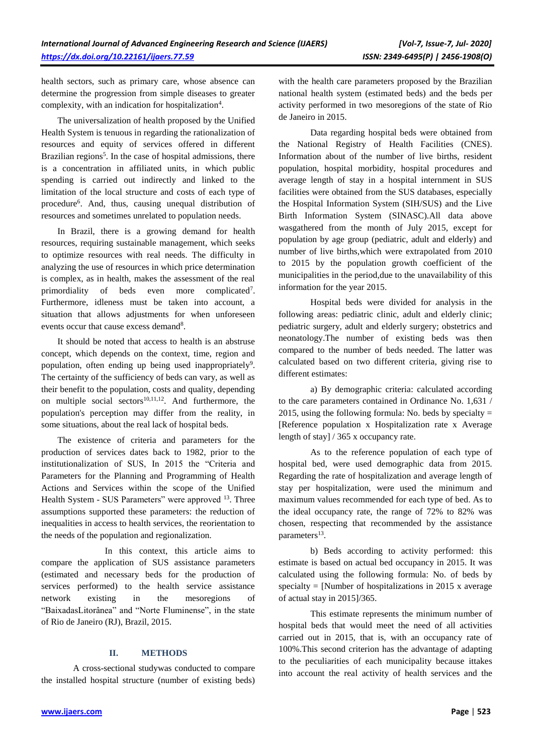health sectors, such as primary care, whose absence can determine the progression from simple diseases to greater complexity, with an indication for hospitalization<sup>4</sup>.

The universalization of health proposed by the Unified Health System is tenuous in regarding the rationalization of resources and equity of services offered in different Brazilian regions<sup>5</sup>. In the case of hospital admissions, there is a concentration in affiliated units, in which public spending is carried out indirectly and linked to the limitation of the local structure and costs of each type of procedure<sup>6</sup>. And, thus, causing unequal distribution of resources and sometimes unrelated to population needs.

In Brazil, there is a growing demand for health resources, requiring sustainable management, which seeks to optimize resources with real needs. The difficulty in analyzing the use of resources in which price determination is complex, as in health, makes the assessment of the real primordiality of beds even more complicated<sup>7</sup>. Furthermore, idleness must be taken into account, a situation that allows adjustments for when unforeseen events occur that cause excess demand<sup>8</sup>.

It should be noted that access to health is an abstruse concept, which depends on the context, time, region and population, often ending up being used inappropriately<sup>9</sup>. The certainty of the sufficiency of beds can vary, as well as their benefit to the population, costs and quality, depending on multiple social sectors $10,11,12$ . And furthermore, the population's perception may differ from the reality, in some situations, about the real lack of hospital beds.

The existence of criteria and parameters for the production of services dates back to 1982, prior to the institutionalization of SUS, In 2015 the "Criteria and Parameters for the Planning and Programming of Health Actions and Services within the scope of the Unified Health System - SUS Parameters" were approved <sup>13</sup>. Three assumptions supported these parameters: the reduction of inequalities in access to health services, the reorientation to the needs of the population and regionalization.

In this context, this article aims to compare the application of SUS assistance parameters (estimated and necessary beds for the production of services performed) to the health service assistance network existing in the mesoregions of "BaixadasLitorânea" and "Norte Fluminense", in the state of Rio de Janeiro (RJ), Brazil, 2015.

## **II. METHODS**

A cross-sectional studywas conducted to compare the installed hospital structure (number of existing beds) with the health care parameters proposed by the Brazilian national health system (estimated beds) and the beds per activity performed in two mesoregions of the state of Rio de Janeiro in 2015.

Data regarding hospital beds were obtained from the National Registry of Health Facilities (CNES). Information about of the number of live births, resident population, hospital morbidity, hospital procedures and average length of stay in a hospital internment in SUS facilities were obtained from the SUS databases, especially the Hospital Information System (SIH/SUS) and the Live Birth Information System (SINASC).All data above wasgathered from the month of July 2015, except for population by age group (pediatric, adult and elderly) and number of live births,which were extrapolated from 2010 to 2015 by the population growth coefficient of the municipalities in the period,due to the unavailability of this information for the year 2015.

Hospital beds were divided for analysis in the following areas: pediatric clinic, adult and elderly clinic; pediatric surgery, adult and elderly surgery; obstetrics and neonatology.The number of existing beds was then compared to the number of beds needed. The latter was calculated based on two different criteria, giving rise to different estimates:

a) By demographic criteria: calculated according to the care parameters contained in Ordinance No. 1,631 / 2015, using the following formula: No. beds by specialty  $=$ [Reference population x Hospitalization rate x Average length of stay] / 365 x occupancy rate.

As to the reference population of each type of hospital bed, were used demographic data from 2015. Regarding the rate of hospitalization and average length of stay per hospitalization, were used the minimum and maximum values recommended for each type of bed. As to the ideal occupancy rate, the range of 72% to 82% was chosen, respecting that recommended by the assistance parameters<sup>13</sup>.

b) Beds according to activity performed: this estimate is based on actual bed occupancy in 2015. It was calculated using the following formula: No. of beds by specialty = [Number of hospitalizations in 2015 x average of actual stay in 2015]/365.

This estimate represents the minimum number of hospital beds that would meet the need of all activities carried out in 2015, that is, with an occupancy rate of 100%.This second criterion has the advantage of adapting to the peculiarities of each municipality because ittakes into account the real activity of health services and the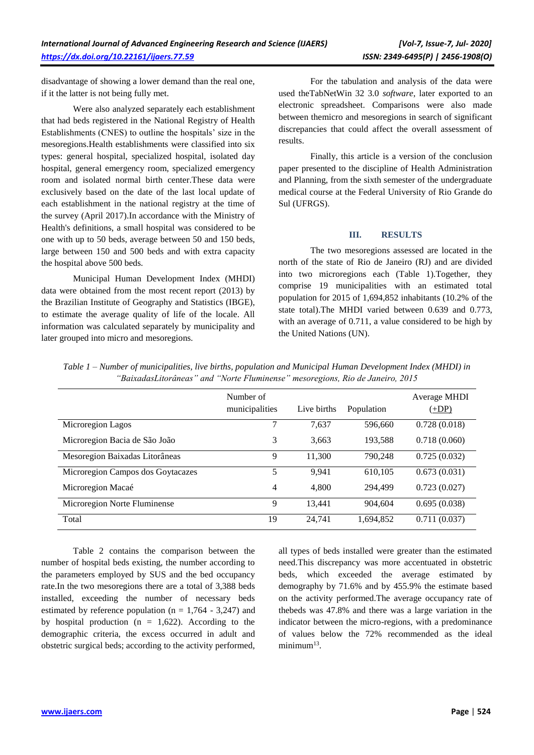disadvantage of showing a lower demand than the real one, if it the latter is not being fully met.

Were also analyzed separately each establishment that had beds registered in the National Registry of Health Establishments (CNES) to outline the hospitals' size in the mesoregions.Health establishments were classified into six types: general hospital, specialized hospital, isolated day hospital, general emergency room, specialized emergency room and isolated normal birth center.These data were exclusively based on the date of the last local update of each establishment in the national registry at the time of the survey (April 2017).In accordance with the Ministry of Health's definitions, a small hospital was considered to be one with up to 50 beds, average between 50 and 150 beds, large between 150 and 500 beds and with extra capacity the hospital above 500 beds.

Municipal Human Development Index (MHDI) data were obtained from the most recent report (2013) by the Brazilian Institute of Geography and Statistics (IBGE), to estimate the average quality of life of the locale. All information was calculated separately by municipality and later grouped into micro and mesoregions.

For the tabulation and analysis of the data were used theTabNetWin 32 3.0 *software*, later exported to an electronic spreadsheet. Comparisons were also made between themicro and mesoregions in search of significant discrepancies that could affect the overall assessment of results.

Finally, this article is a version of the conclusion paper presented to the discipline of Health Administration and Planning, from the sixth semester of the undergraduate medical course at the Federal University of Rio Grande do Sul (UFRGS).

### **III. RESULTS**

The two mesoregions assessed are located in the north of the state of Rio de Janeiro (RJ) and are divided into two microregions each (Table 1).Together, they comprise 19 municipalities with an estimated total population for 2015 of 1,694,852 inhabitants (10.2% of the state total).The MHDI varied between 0.639 and 0.773, with an average of 0.711, a value considered to be high by the United Nations (UN).

|                                   | Number of<br>municipalities | Live births | Population | Average MHDI<br>$(+DP)$ |
|-----------------------------------|-----------------------------|-------------|------------|-------------------------|
| Microregion Lagos                 | 7                           | 7,637       | 596,660    | 0.728(0.018)            |
| Microregion Bacia de São João     | 3                           | 3,663       | 193,588    | 0.718(0.060)            |
| Mesoregion Baixadas Litorâneas    | 9                           | 11,300      | 790,248    | 0.725(0.032)            |
| Microregion Campos dos Goytacazes | 5                           | 9,941       | 610,105    | 0.673(0.031)            |
| Microregion Macaé                 | 4                           | 4,800       | 294.499    | 0.723(0.027)            |
| Microregion Norte Fluminense      | 9                           | 13,441      | 904,604    | 0.695(0.038)            |
| Total                             | 19                          | 24,741      | 1,694,852  | 0.711(0.037)            |

*Table 1 – Number of municipalities, live births, population and Municipal Human Development Index (MHDI) in "BaixadasLitorâneas" and "Norte Fluminense" mesoregions, Rio de Janeiro, 2015*

Table 2 contains the comparison between the number of hospital beds existing, the number according to the parameters employed by SUS and the bed occupancy rate.In the two mesoregions there are a total of 3,388 beds installed, exceeding the number of necessary beds estimated by reference population ( $n = 1,764 - 3,247$ ) and by hospital production ( $n = 1,622$ ). According to the demographic criteria, the excess occurred in adult and obstetric surgical beds; according to the activity performed,

all types of beds installed were greater than the estimated need.This discrepancy was more accentuated in obstetric beds, which exceeded the average estimated by demography by 71.6% and by 455.9% the estimate based on the activity performed.The average occupancy rate of thebeds was 47.8% and there was a large variation in the indicator between the micro-regions, with a predominance of values below the 72% recommended as the ideal minimum<sup>13</sup>.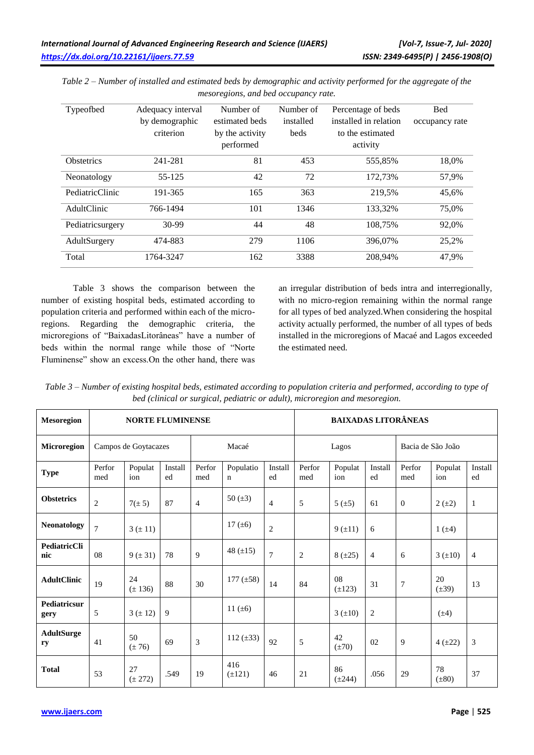| Typeofbed         | Adequacy interval<br>by demographic<br>criterion | Number of<br>estimated beds<br>by the activity<br>performed | Number of<br>installed<br>beds | Percentage of beds<br>installed in relation<br>to the estimated<br>activity | <b>Bed</b><br>occupancy rate |
|-------------------|--------------------------------------------------|-------------------------------------------------------------|--------------------------------|-----------------------------------------------------------------------------|------------------------------|
| <b>Obstetrics</b> | 241-281                                          | 81                                                          | 453                            | 555,85%                                                                     | 18.0%                        |
| Neonatology       | 55-125                                           | 42                                                          | 72                             | 172.73%                                                                     | 57,9%                        |
| PediatricClinic   | 191-365                                          | 165                                                         | 363                            | 219,5%                                                                      | 45,6%                        |
| AdultClinic       | 766-1494                                         | 101                                                         | 1346                           | 133,32%                                                                     | 75,0%                        |
| Pediatricsurgery  | 30-99                                            | 44                                                          | 48                             | 108.75%                                                                     | 92.0%                        |
| AdultSurgery      | 474-883                                          | 279                                                         | 1106                           | 396,07%                                                                     | 25,2%                        |
| Total             | 1764-3247                                        | 162                                                         | 3388                           | 208,94%                                                                     | 47,9%                        |

*Table 2 – Number of installed and estimated beds by demographic and activity performed for the aggregate of the mesoregions, and bed occupancy rate.*

Table 3 shows the comparison between the number of existing hospital beds, estimated according to population criteria and performed within each of the microregions. Regarding the demographic criteria, the microregions of "BaixadasLitorâneas" have a number of beds within the normal range while those of "Norte Fluminense" show an excess.On the other hand, there was

an irregular distribution of beds intra and interregionally, with no micro-region remaining within the normal range for all types of bed analyzed.When considering the hospital activity actually performed, the number of all types of beds installed in the microregions of Macaé and Lagos exceeded the estimated need.

*Table 3 – Number of existing hospital beds, estimated according to population criteria and performed, according to type of bed (clinical or surgical, pediatric or adult), microregion and mesoregion.*

| <b>Mesoregion</b>       | <b>NORTE FLUMINENSE</b> |                      |               |                |                          | <b>BAIXADAS LITORÂNEAS</b> |               |                   |                   |                  |                  |                |
|-------------------------|-------------------------|----------------------|---------------|----------------|--------------------------|----------------------------|---------------|-------------------|-------------------|------------------|------------------|----------------|
| Microregion             |                         | Campos de Goytacazes |               | Macaé          |                          | Lagos                      |               |                   | Bacia de São João |                  |                  |                |
| <b>Type</b>             | Perfor<br>med           | Populat<br>ion       | Install<br>ed | Perfor<br>med  | Populatio<br>$\mathbf n$ | Install<br>ed              | Perfor<br>med | Populat<br>ion    | Install<br>ed     | Perfor<br>med    | Populat<br>ion   | Install<br>ed  |
| <b>Obstetrics</b>       | $\overline{2}$          | $7(\pm 5)$           | 87            | $\overline{4}$ | 50 $(\pm 3)$             | $\overline{4}$             | 5             | 5(±5)             | 61                | $\boldsymbol{0}$ | $2(\pm 2)$       | -1             |
| <b>Neonatology</b>      | $\overline{7}$          | $3 (\pm 11)$         |               |                | 17 $(\pm 6)$             | $\mathbf{2}$               |               | 9(±11)            | 6                 |                  | $1 (+4)$         |                |
| PediatricCli<br>nic     | 08                      | $9 (\pm 31)$         | 78            | 9              | 48 $(\pm 15)$            | $\overline{7}$             | 2             | $8(\pm 25)$       | $\overline{4}$    | 6                | $3(\pm 10)$      | $\overline{4}$ |
| <b>AdultClinic</b>      | 19                      | 24<br>$(\pm 136)$    | 88            | 30             | 177 $(\pm 58)$           | 14                         | 84            | 08<br>$(\pm 123)$ | 31                | $\boldsymbol{7}$ | 20<br>$(\pm 39)$ | 13             |
| Pediatricsur<br>gery    | 5                       | 3 (± 12)             | 9             |                | 11 $(\pm 6)$             |                            |               | $3 (+10)$         | $\mathbf{2}$      |                  | $(\pm 4)$        |                |
| <b>AdultSurge</b><br>ry | 41                      | 50<br>$(\pm 76)$     | 69            | 3              | 112 $(\pm 33)$           | 92                         | 5             | 42<br>$(\pm 70)$  | 02                | 9                | $4(\pm 22)$      | 3              |
| <b>Total</b>            | 53                      | 27<br>$(\pm 272)$    | .549          | 19             | 416<br>$(\pm 121)$       | 46                         | 21            | 86<br>$(\pm 244)$ | .056              | 29               | 78<br>$(\pm 80)$ | 37             |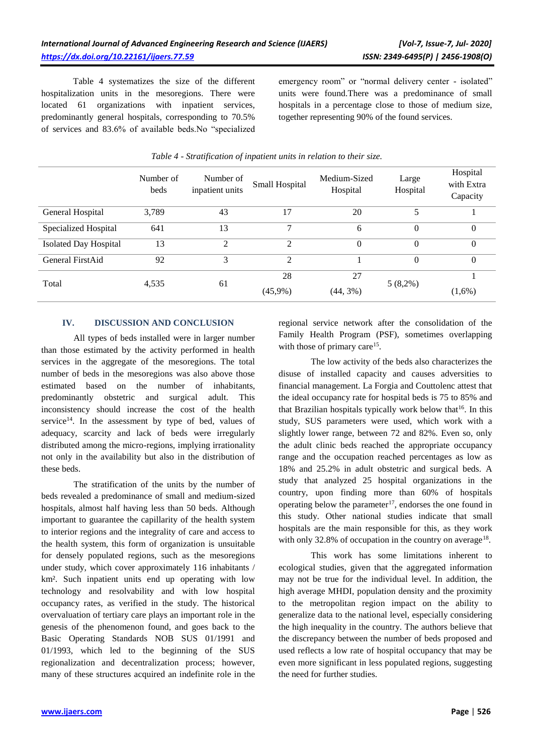Table 4 systematizes the size of the different hospitalization units in the mesoregions. There were located 61 organizations with inpatient services, predominantly general hospitals, corresponding to 70.5% of services and 83.6% of available beds.No "specialized

emergency room" or "normal delivery center - isolated" units were found.There was a predominance of small hospitals in a percentage close to those of medium size, together representing 90% of the found services.

|                              | Number of<br>beds | Number of<br>inpatient units | Small Hospital | Medium-Sized<br>Hospital | Large<br>Hospital | Hospital<br>with Extra<br>Capacity |
|------------------------------|-------------------|------------------------------|----------------|--------------------------|-------------------|------------------------------------|
| General Hospital             | 3,789             | 43                           | 17             | 20                       | 5                 |                                    |
| Specialized Hospital         | 641               | 13                           | ⇁              | 6                        | $\Omega$          | 0                                  |
| <b>Isolated Day Hospital</b> | 13                | 2                            | 2              | $\Omega$                 | $\Omega$          | 0                                  |
| General FirstAid             | 92                | 3                            | 2              |                          | $\Omega$          | $\theta$                           |
| Total                        | 4,535             | 61                           | 28             | 27                       | $5(8,2\%)$        |                                    |
|                              |                   |                              | $(45,9\%)$     | $(44, 3\%)$              |                   | $(1,6\%)$                          |

## *Table 4 - Stratification of inpatient units in relation to their size.*

### **IV. DISCUSSION AND CONCLUSION**

All types of beds installed were in larger number than those estimated by the activity performed in health services in the aggregate of the mesoregions. The total number of beds in the mesoregions was also above those estimated based on the number of inhabitants, predominantly obstetric and surgical adult. This inconsistency should increase the cost of the health service $14$ . In the assessment by type of bed, values of adequacy, scarcity and lack of beds were irregularly distributed among the micro-regions, implying irrationality not only in the availability but also in the distribution of these beds.

The stratification of the units by the number of beds revealed a predominance of small and medium-sized hospitals, almost half having less than 50 beds. Although important to guarantee the capillarity of the health system to interior regions and the integrality of care and access to the health system, this form of organization is unsuitable for densely populated regions, such as the mesoregions under study, which cover approximately 116 inhabitants / km². Such inpatient units end up operating with low technology and resolvability and with low hospital occupancy rates, as verified in the study. The historical overvaluation of tertiary care plays an important role in the genesis of the phenomenon found, and goes back to the Basic Operating Standards NOB SUS 01/1991 and 01/1993, which led to the beginning of the SUS regionalization and decentralization process; however, many of these structures acquired an indefinite role in the

regional service network after the consolidation of the Family Health Program (PSF), sometimes overlapping with those of primary care<sup>15</sup>.

The low activity of the beds also characterizes the disuse of installed capacity and causes adversities to financial management. La Forgia and Couttolenc attest that the ideal occupancy rate for hospital beds is 75 to 85% and that Brazilian hospitals typically work below that $16$ . In this study, SUS parameters were used, which work with a slightly lower range, between 72 and 82%. Even so, only the adult clinic beds reached the appropriate occupancy range and the occupation reached percentages as low as 18% and 25.2% in adult obstetric and surgical beds. A study that analyzed 25 hospital organizations in the country, upon finding more than 60% of hospitals operating below the parameter<sup>17</sup>, endorses the one found in this study. Other national studies indicate that small hospitals are the main responsible for this, as they work with only 32.8% of occupation in the country on average<sup>18</sup>.

This work has some limitations inherent to ecological studies, given that the aggregated information may not be true for the individual level. In addition, the high average MHDI, population density and the proximity to the metropolitan region impact on the ability to generalize data to the national level, especially considering the high inequality in the country. The authors believe that the discrepancy between the number of beds proposed and used reflects a low rate of hospital occupancy that may be even more significant in less populated regions, suggesting the need for further studies.